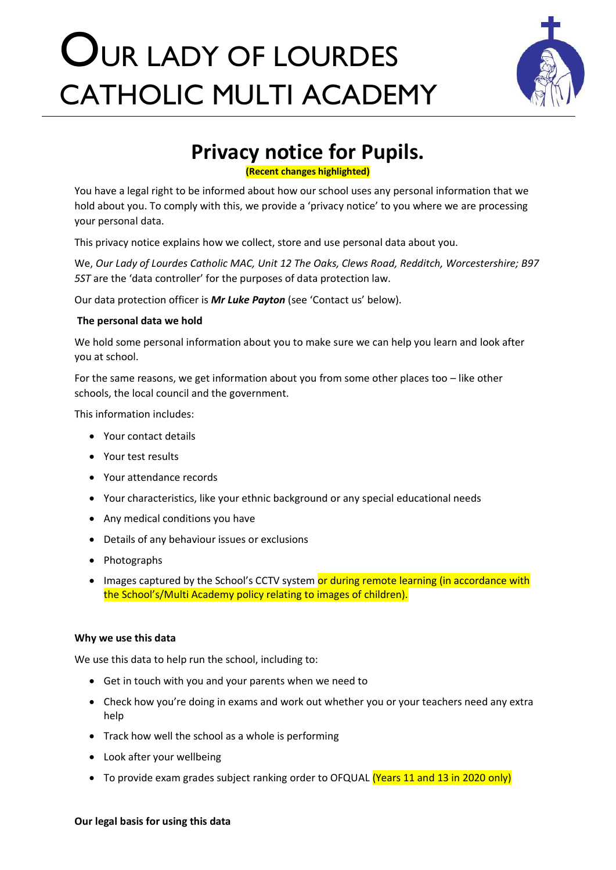# OUR LADY OF LOURDES CATHOLIC MULTI ACADEMY



## **Privacy notice for Pupils.**

**(Recent changes highlighted)**

You have a legal right to be informed about how our school uses any personal information that we hold about you. To comply with this, we provide a 'privacy notice' to you where we are processing your personal data.

This privacy notice explains how we collect, store and use personal data about you.

We, *Our Lady of Lourdes Catholic MAC, Unit 12 The Oaks, Clews Road, Redditch, Worcestershire; B97 5ST* are the 'data controller' for the purposes of data protection law.

Our data protection officer is *Mr Luke Payton* (see 'Contact us' below).

### **The personal data we hold**

We hold some personal information about you to make sure we can help you learn and look after you at school.

For the same reasons, we get information about you from some other places too – like other schools, the local council and the government.

This information includes:

- Your contact details
- Your test results
- Your attendance records
- Your characteristics, like your ethnic background or any special educational needs
- Any medical conditions you have
- Details of any behaviour issues or exclusions
- Photographs
- Images captured by the School's CCTV system or during remote learning (in accordance with the School's/Multi Academy policy relating to images of children).

### **Why we use this data**

We use this data to help run the school, including to:

- Get in touch with you and your parents when we need to
- Check how you're doing in exams and work out whether you or your teachers need any extra help
- Track how well the school as a whole is performing
- Look after your wellbeing
- To provide exam grades subject ranking order to OFQUAL (Years 11 and 13 in 2020 only)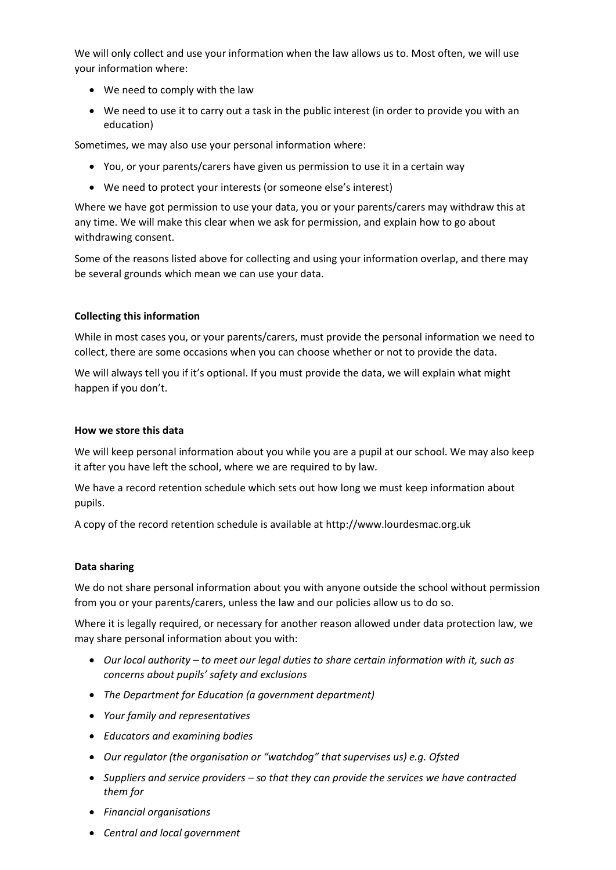We will only collect and use your information when the law allows us to. Most often, we will use your information where:

- We need to comply with the law
- We need to use it to carry out a task in the public interest (in order to provide you with an education)

Sometimes, we may also use your personal information where:

- You, or your parents/carers have given us permission to use it in a certain way
- We need to protect your interests (or someone else's interest)

Where we have got permission to use your data, you or your parents/carers may withdraw this at any time. We will make this clear when we ask for permission, and explain how to go about withdrawing consent.

Some of the reasons listed above for collecting and using your information overlap, and there may be several grounds which mean we can use your data.

### **Collecting this information**

While in most cases you, or your parents/carers, must provide the personal information we need to collect, there are some occasions when you can choose whether or not to provide the data.

We will always tell you if it's optional. If you must provide the data, we will explain what might happen if you don't.

#### **How we store this data**

We will keep personal information about you while you are a pupil at our school. We may also keep it after you have left the school, where we are required to by law.

We have a record retention schedule which sets out how long we must keep information about pupils.

A copy of the record retention schedule is available at http://www.lourdesmac.org.uk

### **Data sharing**

We do not share personal information about you with anyone outside the school without permission from you or your parents/carers, unless the law and our policies allow us to do so.

Where it is legally required, or necessary for another reason allowed under data protection law, we may share personal information about you with:

- *Our local authority – to meet our legal duties to share certain information with it, such as concerns about pupils' safety and exclusions*
- *The Department for Education (a government department)*
- *Your family and representatives*
- *Educators and examining bodies*
- *Our regulator (the organisation or "watchdog" that supervises us) e.g. Ofsted*
- *Suppliers and service providers – so that they can provide the services we have contracted them for*
- *Financial organisations*
- *Central and local government*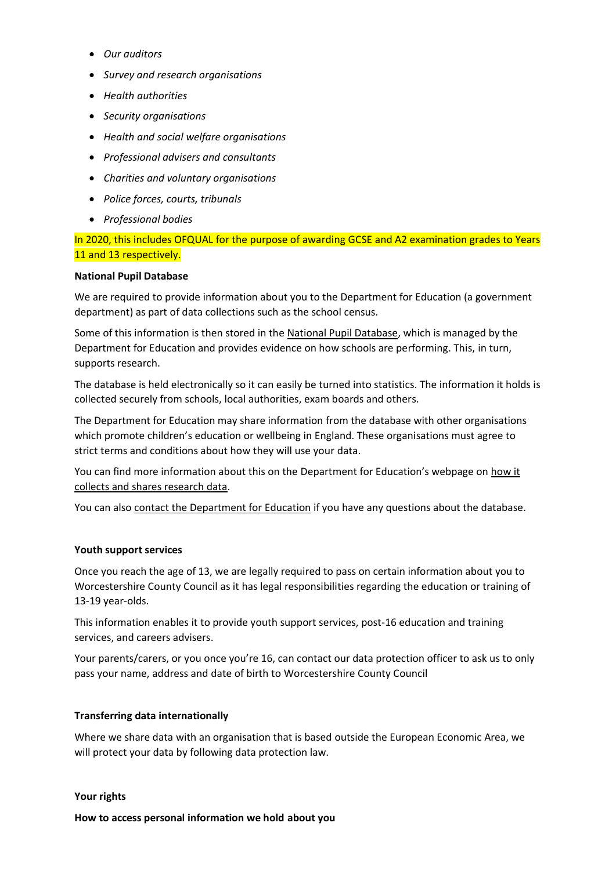- *Our auditors*
- *Survey and research organisations*
- *Health authorities*
- *Security organisations*
- *Health and social welfare organisations*
- *Professional advisers and consultants*
- *Charities and voluntary organisations*
- *Police forces, courts, tribunals*
- *Professional bodies*

In 2020, this includes OFQUAL for the purpose of awarding GCSE and A2 examination grades to Years 11 and 13 respectively.

### **National Pupil Database**

We are required to provide information about you to the Department for Education (a government department) as part of data collections such as the school census.

Some of this information is then stored in the [National Pupil Database,](https://www.gov.uk/government/publications/national-pupil-database-user-guide-and-supporting-information) which is managed by the Department for Education and provides evidence on how schools are performing. This, in turn, supports research.

The database is held electronically so it can easily be turned into statistics. The information it holds is collected securely from schools, local authorities, exam boards and others.

The Department for Education may share information from the database with other organisations which promote children's education or wellbeing in England. These organisations must agree to strict terms and conditions about how they will use your data.

You can find more information about this on the Department for Education's webpage on [how it](https://www.gov.uk/data-protection-how-we-collect-and-share-research-data)  [collects and shares research data.](https://www.gov.uk/data-protection-how-we-collect-and-share-research-data)

You can also [contact the Department for](https://www.gov.uk/contact-dfe) Education if you have any questions about the database.

### **Youth support services**

Once you reach the age of 13, we are legally required to pass on certain information about you to Worcestershire County Council as it has legal responsibilities regarding the education or training of 13-19 year-olds.

This information enables it to provide youth support services, post-16 education and training services, and careers advisers.

Your parents/carers, or you once you're 16, can contact our data protection officer to ask us to only pass your name, address and date of birth to Worcestershire County Council

### **Transferring data internationally**

Where we share data with an organisation that is based outside the European Economic Area, we will protect your data by following data protection law.

### **Your rights**

**How to access personal information we hold about you**